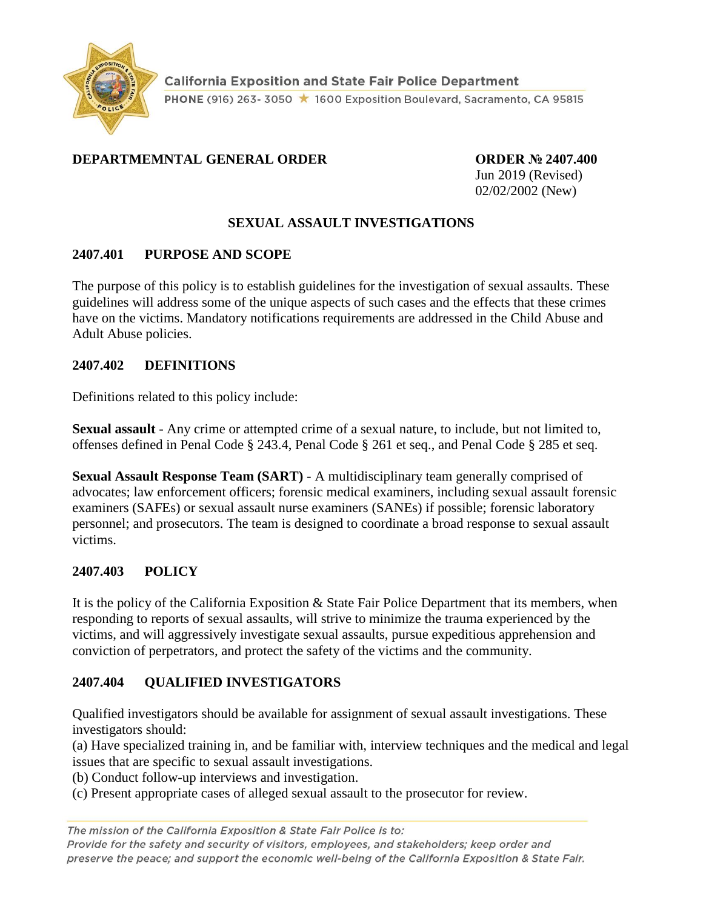

#### **DEPARTMEMNTAL GENERAL ORDER ORDER № 2407.400**

Jun 2019 (Revised) 02/02/2002 (New)

### **SEXUAL ASSAULT INVESTIGATIONS**

#### **2407.401 PURPOSE AND SCOPE**

The purpose of this policy is to establish guidelines for the investigation of sexual assaults. These guidelines will address some of the unique aspects of such cases and the effects that these crimes have on the victims. Mandatory notifications requirements are addressed in the Child Abuse and Adult Abuse policies.

#### **2407.402 DEFINITIONS**

Definitions related to this policy include:

**Sexual assault** - Any crime or attempted crime of a sexual nature, to include, but not limited to, offenses defined in Penal Code § 243.4, Penal Code § 261 et seq., and Penal Code § 285 et seq.

**Sexual Assault Response Team (SART)** - A multidisciplinary team generally comprised of advocates; law enforcement officers; forensic medical examiners, including sexual assault forensic examiners (SAFEs) or sexual assault nurse examiners (SANEs) if possible; forensic laboratory personnel; and prosecutors. The team is designed to coordinate a broad response to sexual assault victims.

#### **2407.403 POLICY**

It is the policy of the California Exposition & State Fair Police Department that its members, when responding to reports of sexual assaults, will strive to minimize the trauma experienced by the victims, and will aggressively investigate sexual assaults, pursue expeditious apprehension and conviction of perpetrators, and protect the safety of the victims and the community.

#### **2407.404 QUALIFIED INVESTIGATORS**

Qualified investigators should be available for assignment of sexual assault investigations. These investigators should:

(a) Have specialized training in, and be familiar with, interview techniques and the medical and legal issues that are specific to sexual assault investigations.

(b) Conduct follow-up interviews and investigation.

(c) Present appropriate cases of alleged sexual assault to the prosecutor for review.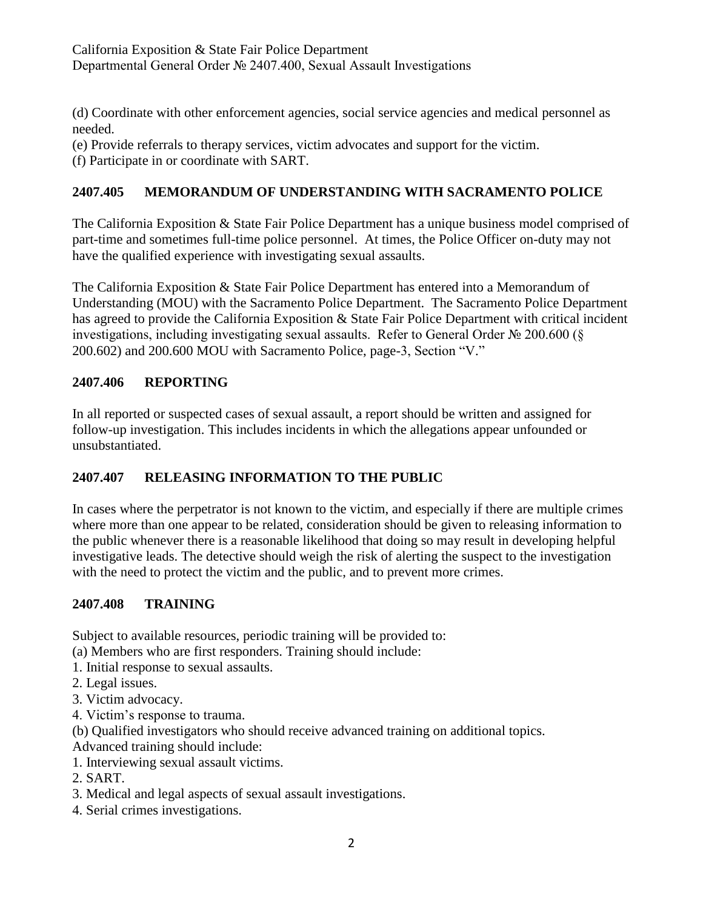(d) Coordinate with other enforcement agencies, social service agencies and medical personnel as needed.

(e) Provide referrals to therapy services, victim advocates and support for the victim.

(f) Participate in or coordinate with SART.

## **2407.405 MEMORANDUM OF UNDERSTANDING WITH SACRAMENTO POLICE**

The California Exposition & State Fair Police Department has a unique business model comprised of part-time and sometimes full-time police personnel. At times, the Police Officer on-duty may not have the qualified experience with investigating sexual assaults.

The California Exposition & State Fair Police Department has entered into a Memorandum of Understanding (MOU) with the Sacramento Police Department. The Sacramento Police Department has agreed to provide the California Exposition & State Fair Police Department with critical incident investigations, including investigating sexual assaults. Refer to General Order № 200.600 (§ 200.602) and 200.600 MOU with Sacramento Police, page-3, Section "V."

#### **2407.406 REPORTING**

In all reported or suspected cases of sexual assault, a report should be written and assigned for follow-up investigation. This includes incidents in which the allegations appear unfounded or unsubstantiated.

## **2407.407 RELEASING INFORMATION TO THE PUBLIC**

In cases where the perpetrator is not known to the victim, and especially if there are multiple crimes where more than one appear to be related, consideration should be given to releasing information to the public whenever there is a reasonable likelihood that doing so may result in developing helpful investigative leads. The detective should weigh the risk of alerting the suspect to the investigation with the need to protect the victim and the public, and to prevent more crimes.

#### **2407.408 TRAINING**

Subject to available resources, periodic training will be provided to:

(a) Members who are first responders. Training should include:

- 1. Initial response to sexual assaults.
- 2. Legal issues.
- 3. Victim advocacy.
- 4. Victim's response to trauma.

(b) Qualified investigators who should receive advanced training on additional topics.

Advanced training should include:

- 1. Interviewing sexual assault victims.
- 2. SART.
- 3. Medical and legal aspects of sexual assault investigations.
- 4. Serial crimes investigations.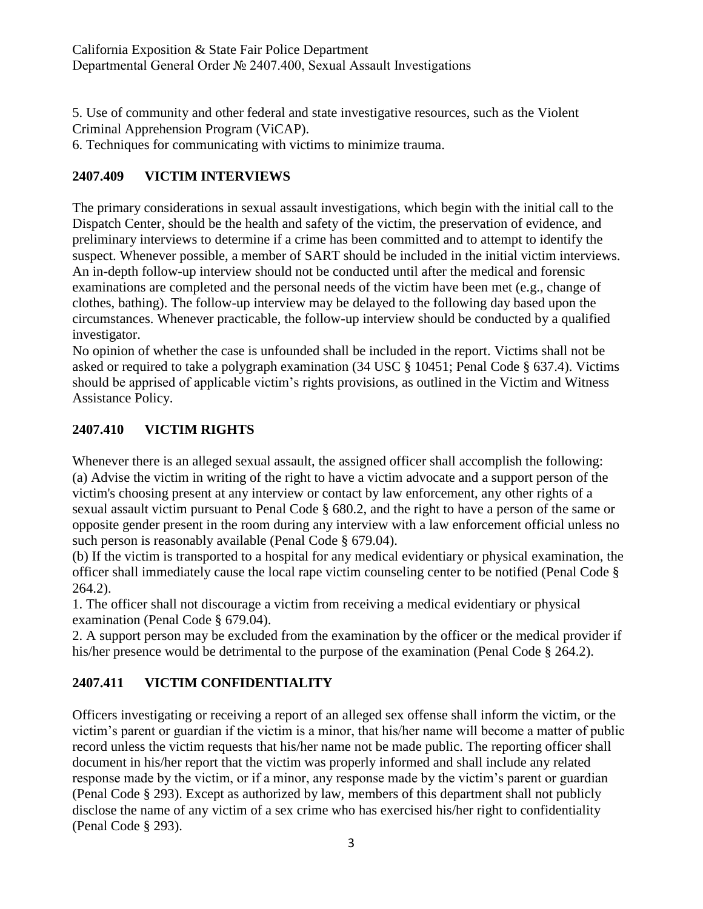5. Use of community and other federal and state investigative resources, such as the Violent Criminal Apprehension Program (ViCAP).

6. Techniques for communicating with victims to minimize trauma.

#### **2407.409 VICTIM INTERVIEWS**

The primary considerations in sexual assault investigations, which begin with the initial call to the Dispatch Center, should be the health and safety of the victim, the preservation of evidence, and preliminary interviews to determine if a crime has been committed and to attempt to identify the suspect. Whenever possible, a member of SART should be included in the initial victim interviews. An in-depth follow-up interview should not be conducted until after the medical and forensic examinations are completed and the personal needs of the victim have been met (e.g., change of clothes, bathing). The follow-up interview may be delayed to the following day based upon the circumstances. Whenever practicable, the follow-up interview should be conducted by a qualified investigator.

No opinion of whether the case is unfounded shall be included in the report. Victims shall not be asked or required to take a polygraph examination (34 USC § 10451; Penal Code § 637.4). Victims should be apprised of applicable victim's rights provisions, as outlined in the Victim and Witness Assistance Policy.

#### **2407.410 VICTIM RIGHTS**

Whenever there is an alleged sexual assault, the assigned officer shall accomplish the following: (a) Advise the victim in writing of the right to have a victim advocate and a support person of the victim's choosing present at any interview or contact by law enforcement, any other rights of a sexual assault victim pursuant to Penal Code § 680.2, and the right to have a person of the same or opposite gender present in the room during any interview with a law enforcement official unless no such person is reasonably available (Penal Code § 679.04).

(b) If the victim is transported to a hospital for any medical evidentiary or physical examination, the officer shall immediately cause the local rape victim counseling center to be notified (Penal Code § 264.2).

1. The officer shall not discourage a victim from receiving a medical evidentiary or physical examination (Penal Code § 679.04).

2. A support person may be excluded from the examination by the officer or the medical provider if his/her presence would be detrimental to the purpose of the examination (Penal Code § 264.2).

#### **2407.411 VICTIM CONFIDENTIALITY**

Officers investigating or receiving a report of an alleged sex offense shall inform the victim, or the victim's parent or guardian if the victim is a minor, that his/her name will become a matter of public record unless the victim requests that his/her name not be made public. The reporting officer shall document in his/her report that the victim was properly informed and shall include any related response made by the victim, or if a minor, any response made by the victim's parent or guardian (Penal Code § 293). Except as authorized by law, members of this department shall not publicly disclose the name of any victim of a sex crime who has exercised his/her right to confidentiality (Penal Code § 293).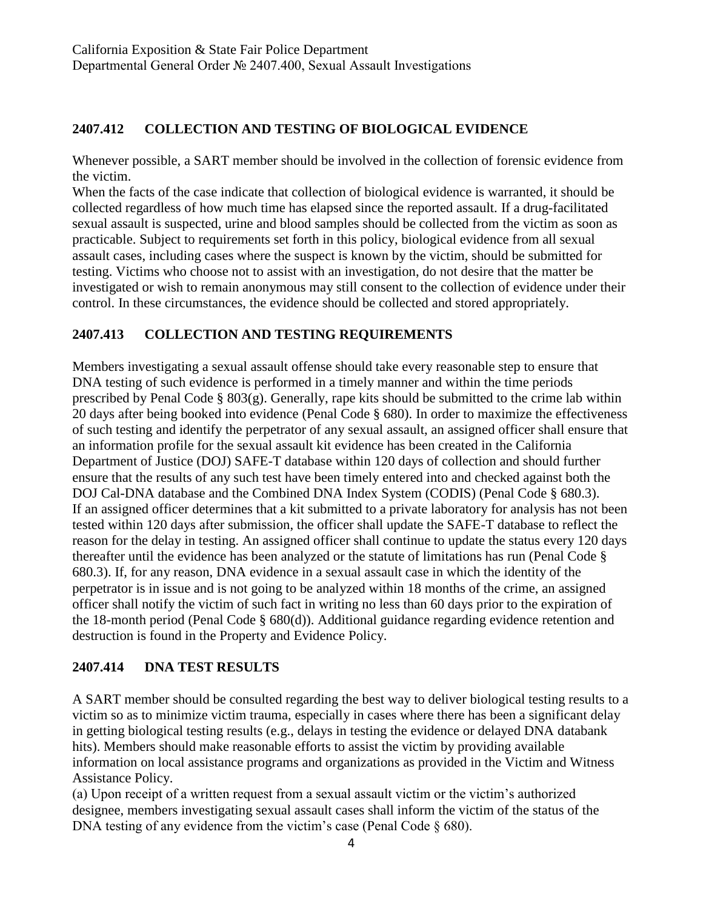### **2407.412 COLLECTION AND TESTING OF BIOLOGICAL EVIDENCE**

Whenever possible, a SART member should be involved in the collection of forensic evidence from the victim.

When the facts of the case indicate that collection of biological evidence is warranted, it should be collected regardless of how much time has elapsed since the reported assault. If a drug-facilitated sexual assault is suspected, urine and blood samples should be collected from the victim as soon as practicable. Subject to requirements set forth in this policy, biological evidence from all sexual assault cases, including cases where the suspect is known by the victim, should be submitted for testing. Victims who choose not to assist with an investigation, do not desire that the matter be investigated or wish to remain anonymous may still consent to the collection of evidence under their control. In these circumstances, the evidence should be collected and stored appropriately.

#### **2407.413 COLLECTION AND TESTING REQUIREMENTS**

Members investigating a sexual assault offense should take every reasonable step to ensure that DNA testing of such evidence is performed in a timely manner and within the time periods prescribed by Penal Code § 803(g). Generally, rape kits should be submitted to the crime lab within 20 days after being booked into evidence (Penal Code § 680). In order to maximize the effectiveness of such testing and identify the perpetrator of any sexual assault, an assigned officer shall ensure that an information profile for the sexual assault kit evidence has been created in the California Department of Justice (DOJ) SAFE-T database within 120 days of collection and should further ensure that the results of any such test have been timely entered into and checked against both the DOJ Cal-DNA database and the Combined DNA Index System (CODIS) (Penal Code § 680.3). If an assigned officer determines that a kit submitted to a private laboratory for analysis has not been tested within 120 days after submission, the officer shall update the SAFE-T database to reflect the reason for the delay in testing. An assigned officer shall continue to update the status every 120 days thereafter until the evidence has been analyzed or the statute of limitations has run (Penal Code § 680.3). If, for any reason, DNA evidence in a sexual assault case in which the identity of the perpetrator is in issue and is not going to be analyzed within 18 months of the crime, an assigned officer shall notify the victim of such fact in writing no less than 60 days prior to the expiration of the 18-month period (Penal Code § 680(d)). Additional guidance regarding evidence retention and destruction is found in the Property and Evidence Policy.

#### **2407.414 DNA TEST RESULTS**

A SART member should be consulted regarding the best way to deliver biological testing results to a victim so as to minimize victim trauma, especially in cases where there has been a significant delay in getting biological testing results (e.g., delays in testing the evidence or delayed DNA databank hits). Members should make reasonable efforts to assist the victim by providing available information on local assistance programs and organizations as provided in the Victim and Witness Assistance Policy.

(a) Upon receipt of a written request from a sexual assault victim or the victim's authorized designee, members investigating sexual assault cases shall inform the victim of the status of the DNA testing of any evidence from the victim's case (Penal Code § 680).